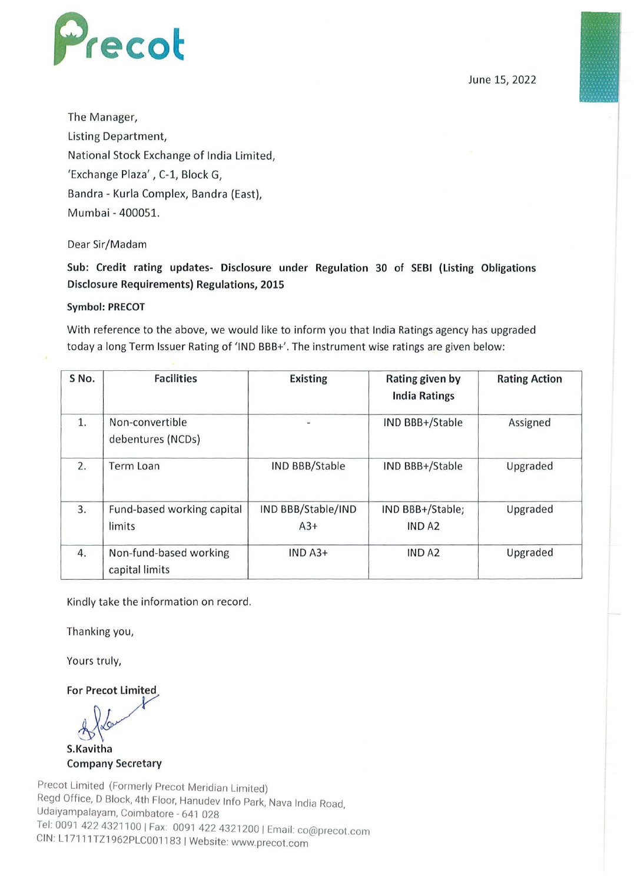

June 15, 2022

The Manager, Listing Department, National Stock Exchange of India Limited, 'Exchange Plaza' , C-1, Block G, Bandra - Kurla Complex, Bandra (East), Mumbai - 400051.

## Dear Sir/Madam

Sub: Credit rating updates- Disclosure under Regulation 30 of SEBI {Listing Obligations Disclosure Requirements) Regulations, 2015

## Symbol: PRECOT

With reference to the above, we would like to inform you that India Ratings agency has upgraded today a long Term Issuer Rating of 'IND BBB+'. The instrument wise ratings are given below:

| S No. | <b>Facilities</b>                        | <b>Existing</b>             | Rating given by<br><b>India Ratings</b> | <b>Rating Action</b> |  |
|-------|------------------------------------------|-----------------------------|-----------------------------------------|----------------------|--|
| 1.    | Non-convertible<br>debentures (NCDs)     |                             | IND BBB+/Stable                         | Assigned             |  |
| 2.    | Term Loan                                | <b>IND BBB/Stable</b>       | IND BBB+/Stable                         | Upgraded             |  |
| 3.    | Fund-based working capital<br>limits     | IND BBB/Stable/IND<br>$A3+$ | IND BBB+/Stable;<br><b>IND A2</b>       | Upgraded             |  |
| 4.    | Non-fund-based working<br>capital limits | $INDA3+$                    | IND A <sub>2</sub>                      | Upgraded             |  |

Kindly take the information on record.

Thanking you,

Yours truly,

For Precot Limited

r Precot Limited S.Kavitha

Company Secretary

Precot Limited (Formerly Precot Meridian Limited) Regd Office, D Block, 4th Floor, Hanudev Info Park, Nava India Road, Udaiyampalayam, Coimbatore - 641 028 Tel: 0091 422 4321100 I Fax: 0091 422 4321200 I Email: co@precot.com CIN: L 1711 1TZ1962PLC001183 I Website: www.precot.com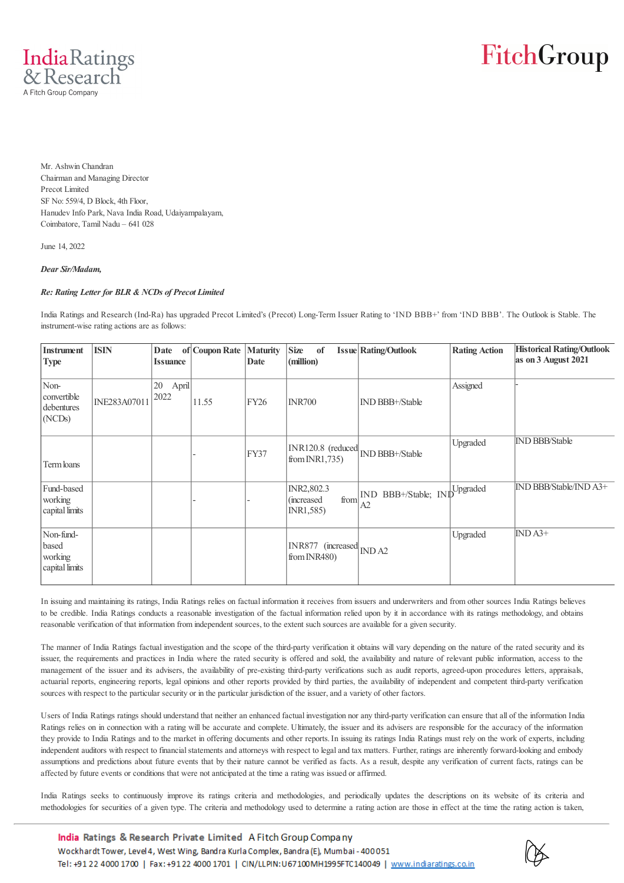

# FitchGroup

Mr. Ashwin Chandran Chairman and Managing Director Precot Limited SF No: 559/4, D Block, 4th Floor, Hanudev Info Park, Nava India Road, Udaiyampalayam, Coimbatore, Tamil Nadu – 641 028

June 14, 2022

#### *Dear Sir/Madam,*

#### *Re: Rating Letter for BLR & NCDs of Precot Limited*

India Ratings and Research (Ind-Ra) has upgraded Precot Limited's (Precot) Long-Term Issuer Rating to 'IND BBB+' from 'IND BBB'. The Outlook is Stable. The instrument-wise rating actions are as follows:

| Instrument<br><b>Type</b>                       | <b>ISIN</b>  | Date<br><b>Issuance</b> | of Coupon Rate | <b>Maturity</b><br>Date | <b>Size</b><br>of<br>(million)                | <b>Issue Rating/Outlook</b>                  | <b>Rating Action</b> | <b>Historical Rating/Outlook</b><br>as on 3 August 2021 |
|-------------------------------------------------|--------------|-------------------------|----------------|-------------------------|-----------------------------------------------|----------------------------------------------|----------------------|---------------------------------------------------------|
| Non-<br>convertible<br>debentures<br>(NCDs)     | INE283A07011 | 20<br>April<br>2022     | 11.55          | <b>FY26</b>             | <b>INR700</b>                                 | IND BBB+/Stable                              | Assigned             |                                                         |
| Term loans                                      |              |                         |                | FY37                    | INR120.8 (reduced<br>from INR1,735)           | IND BBB+/Stable                              | Upgraded             | <b>IND BBB/Stable</b>                                   |
| Fund-based<br>working<br>capital limits         |              |                         |                |                         | INR2,802.3<br>from<br>(increased<br>INR1,585) | BBB+/Stable; INDUpgraded<br><b>IND</b><br>A2 |                      | IND BBB/Stable/IND A3+                                  |
| Non-fund-<br>based<br>working<br>capital limits |              |                         |                |                         | INR877 (increased<br>from $INR480$ )          | INDA2                                        | Upgraded             | $IND A3+$                                               |

In issuing and maintaining its ratings, India Ratings relies on factual information it receives from issuers and underwriters and from other sources India Ratings believes to be credible. India Ratings conducts a reasonable investigation of the factual information relied upon by it in accordance with its ratings methodology, and obtains reasonable verification of that information from independent sources, to the extent such sources are available for a given security.

The manner of India Ratings factual investigation and the scope of the third-party verification it obtains will vary depending on the nature of the rated security and its issuer, the requirements and practices in India where the rated security is offered and sold, the availability and nature of relevant public information, access to the management of the issuer and its advisers, the availability of pre-existing third-party verifications such as audit reports, agreed-upon procedures letters, appraisals, actuarial reports, engineering reports, legal opinions and other reports provided by third parties, the availability of independent and competent third-party verification sources with respect to the particular security or in the particular jurisdiction of the issuer, and a variety of other factors.

Users of India Ratings ratings should understand that neither an enhanced factual investigation nor any third-party verification can ensure that all of the information India Ratings relies on in connection with a rating will be accurate and complete. Ultimately, the issuer and its advisers are responsible for the accuracy of the information they provide to India Ratings and to the market in offering documents and other reports. In issuing its ratings India Ratings must rely on the work of experts, including independent auditors with respect to financial statements and attorneys with respect to legal and tax matters. Further, ratings are inherently forward-looking and embody assumptions and predictions about future events that by their nature cannot be verified as facts. As a result, despite any verification of current facts, ratings can be affected by future events or conditions that were not anticipated at the time a rating was issued or affirmed.

India Ratings seeks to continuously improve its ratings criteria and methodologies, and periodically updates the descriptions on its website of its criteria and methodologies for securities of a given type. The criteria and methodology used to determine a rating action are those in effect at the time the rating action is taken,

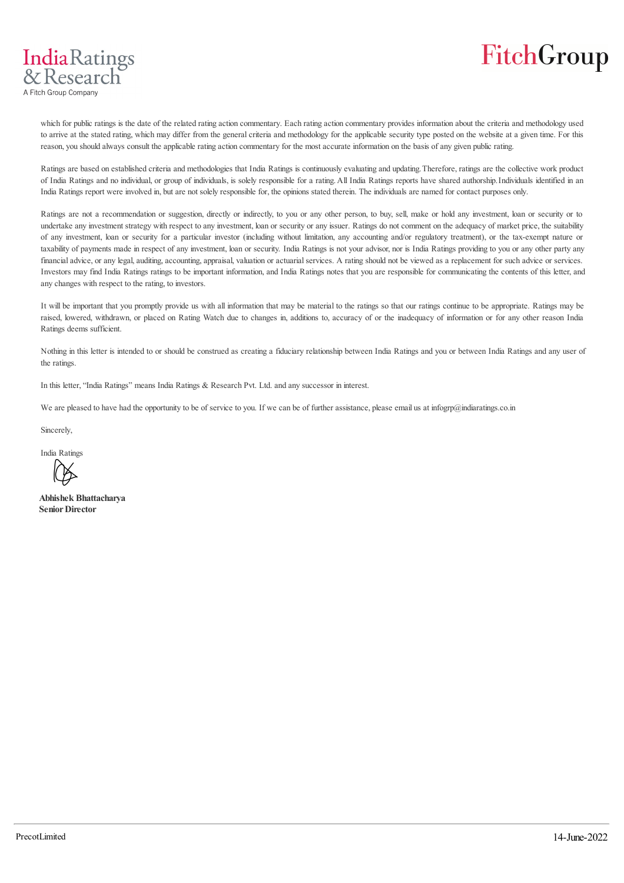

which for public ratings is the date of the related rating action commentary. Each rating action commentary provides information about the criteria and methodology used to arrive at the stated rating, which may differ from the general criteria and methodology for the applicable security type posted on the website at a given time. For this reason, you should always consult the applicable rating action commentary for the most accurate information on the basis of any given public rating.

Ratings are based on established criteria and methodologies that India Ratings is continuously evaluating and updating. Therefore, ratings are the collective work product of India Ratings and no individual, or group of individuals, is solely responsible for a rating. All India Ratings reports have shared authorship. Individuals identified in an India Ratings report were involved in, but are not solely responsible for, the opinions stated therein. The individuals are named for contact purposes only.

Ratings are not a recommendation or suggestion, directly or indirectly, to you or any other person, to buy, sell, make or hold any investment, loan or security or to undertake any investment strategy with respect to any investment, loan or security or any issuer. Ratings do not comment on the adequacy of market price, the suitability of any investment, loan or security for a particular investor (including without limitation, any accounting and/or regulatory treatment), or the tax-exempt nature or taxability of payments made in respect of any investment, loan or security. India Ratings is not your advisor, nor is India Ratings providing to you or any other party any financial advice, or any legal, auditing, accounting, appraisal, valuation or actuarial services. A rating should not be viewed as a replacement for such advice or services. Investors may find India Ratings ratings to be important information, and India Ratings notes that you are responsible for communicating the contents of this letter, and any changes with respect to the rating, to investors.

It will be important that you promptly provide us with all information that may be material to the ratings so that our ratings continue to be appropriate. Ratings may be raised, lowered, withdrawn, or placed on Rating Watch due to changes in, additions to, accuracy of or the inadequacy of information or for any other reason India Ratings deems sufficient.

Nothing in this letter is intended to or should be construed as creating a fiduciary relationship between India Ratings and you or between India Ratings and any user of the ratings.

In this letter, "India Ratings" means India Ratings & Research Pvt. Ltd. and any successor in interest.

We are pleased to have had the opportunity to be of service to you. If we can be of further assistance, please email us at infogrp@indiaratings.co.in

Sincerely,

India Ratings

**Abhishek Bhattacharya Senior Director**

**IndiaRatings** & Research A Fitch Group Company